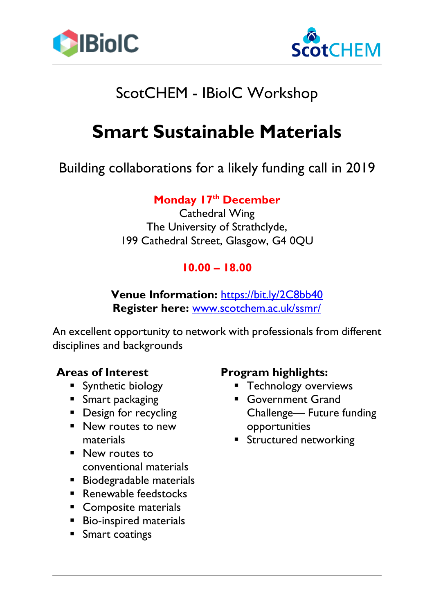



## ScotCHEM - IBioIC Workshop

# **Smart Sustainable Materials**

## Building collaborations for a likely funding call in 2019

### **Monday 17th December**

Cathedral Wing The University of Strathclyde, 199 Cathedral Street, Glasgow, G4 0QU

### **10.00 – 18.00**

**Venue Information:** <https://bit.ly/2C8bb40> **Register here:** [www.scotchem.ac.uk/ssmr/](http://www.scotchem.ac.uk/ssmr/)

An excellent opportunity to network with professionals from different disciplines and backgrounds

#### **Areas of Interest**

- **E** Synthetic biology
- **E** Smart packaging
- **•** Design for recycling
- New routes to new materials
- New routes to conventional materials
- Biodegradable materials
- Renewable feedstocks
- Composite materials
- Bio-inspired materials
- Smart coatings

#### **Program highlights:**

- **EXECUTE THE TECHNOLOGY OVERVIEWS**
- **Government Grand** Challenge— Future funding opportunities
- **E** Structured networking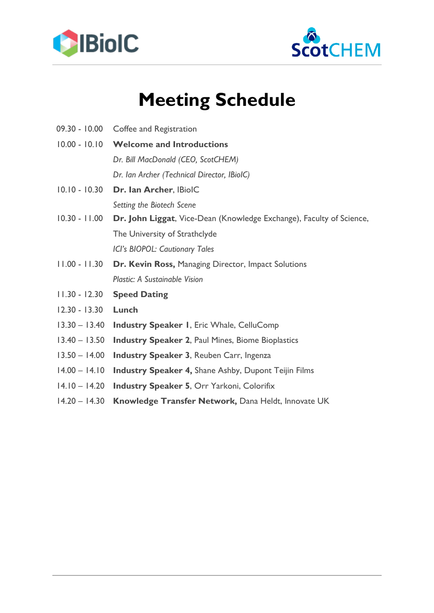



# **Meeting Schedule**

- 09.30 10.00 Coffee and Registration
- 10.00 10.10 **Welcome and Introductions** 
	- *Dr. Bill MacDonald (CEO, ScotCHEM)*

*Dr. Ian Archer (Technical Director, IBioIC)*

- 10.10 10.30 **Dr. Ian Archer**, IBioIC *Setting the Biotech Scene*
- 10.30 11.00 **Dr. John Liggat**, Vice-Dean (Knowledge Exchange), Faculty of Science, The University of Strathclyde *ICI's BIOPOL: Cautionary Tales*
- 11.00 11.30 **Dr. Kevin Ross,** Managing Director, Impact Solutions *Plastic: A Sustainable Vision*
- 11.30 12.30 **Speed Dating**
- 12.30 13.30 **Lunch**
- 13.30 13.40 **Industry Speaker 1**, Eric Whale, CelluComp
- 13.40 13.50 **Industry Speaker 2**, Paul Mines, Biome Bioplastics
- 13.50 14.00 **Industry Speaker 3**, Reuben Carr, Ingenza
- 14.00 14.10 **Industry Speaker 4,** Shane Ashby, Dupont Teijin Films
- 14.10 14.20 **Industry Speaker 5**, Orr Yarkoni, Colorifix
- 14.20 14.30 **Knowledge Transfer Network,** Dana Heldt, Innovate UK